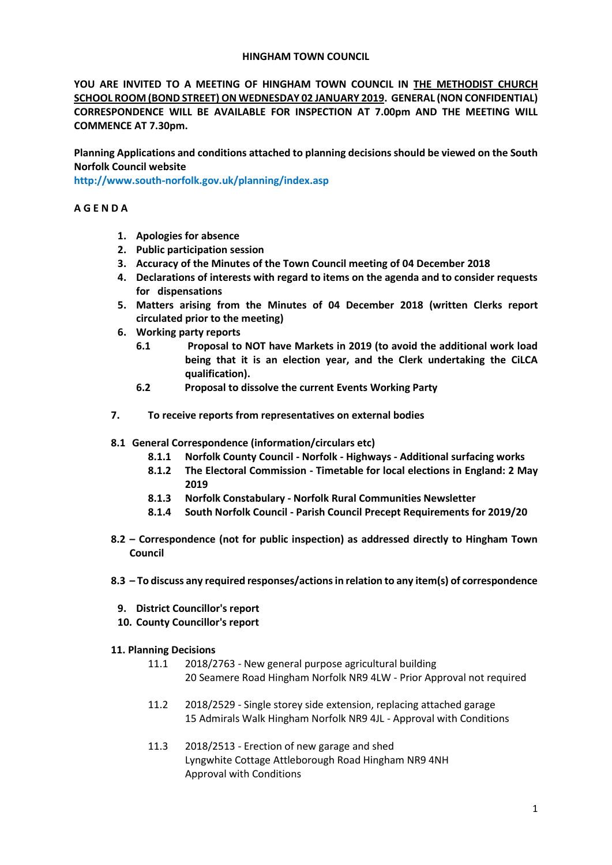### **HINGHAM TOWN COUNCIL**

**YOU ARE INVITED TO A MEETING OF HINGHAM TOWN COUNCIL IN THE METHODIST CHURCH SCHOOL ROOM (BOND STREET) ON WEDNESDAY 02 JANUARY 2019. GENERAL (NON CONFIDENTIAL) CORRESPONDENCE WILL BE AVAILABLE FOR INSPECTION AT 7.00pm AND THE MEETING WILL COMMENCE AT 7.30pm.** 

**Planning Applications and conditions attached to planning decisions should be viewed on the South Norfolk Council website** 

**<http://www.south-norfolk.gov.uk/planning/index.asp>**

## **A G E N D A**

- **1. Apologies for absence**
- **2. Public participation session**
- **3. Accuracy of the Minutes of the Town Council meeting of 04 December 2018**
- **4. Declarations of interests with regard to items on the agenda and to consider requests for dispensations**
- **5. Matters arising from the Minutes of 04 December 2018 (written Clerks report circulated prior to the meeting)**
- **6. Working party reports** 
	- **6.1 Proposal to NOT have Markets in 2019 (to avoid the additional work load being that it is an election year, and the Clerk undertaking the CiLCA qualification).**
	- **6.2 Proposal to dissolve the current Events Working Party**
- **7. To receive reports from representatives on external bodies**
- **8.1 General Correspondence (information/circulars etc)**
	- **8.1.1 Norfolk County Council - Norfolk - Highways - Additional surfacing works**
	- **8.1.2 The Electoral Commission - Timetable for local elections in England: 2 May 2019**
	- **8.1.3 Norfolk Constabulary - Norfolk Rural Communities Newsletter**
	- **8.1.4 South Norfolk Council - Parish Council Precept Requirements for 2019/20**
- **8.2 – Correspondence (not for public inspection) as addressed directly to Hingham Town Council**
- **8.3 – To discuss any required responses/actions in relation to any item(s) of correspondence** 
	- **9. District Councillor's report**
	- **10. County Councillor's report**
- **11. Planning Decisions**
	- 11.1 2018/2763 New general purpose agricultural building 20 Seamere Road Hingham Norfolk NR9 4LW - Prior Approval not required
	- 11.2 2018/2529 Single storey side extension, replacing attached garage 15 Admirals Walk Hingham Norfolk NR9 4JL - Approval with Conditions
	- 11.3 2018/2513 Erection of new garage and shed Lyngwhite Cottage Attleborough Road Hingham NR9 4NH Approval with Conditions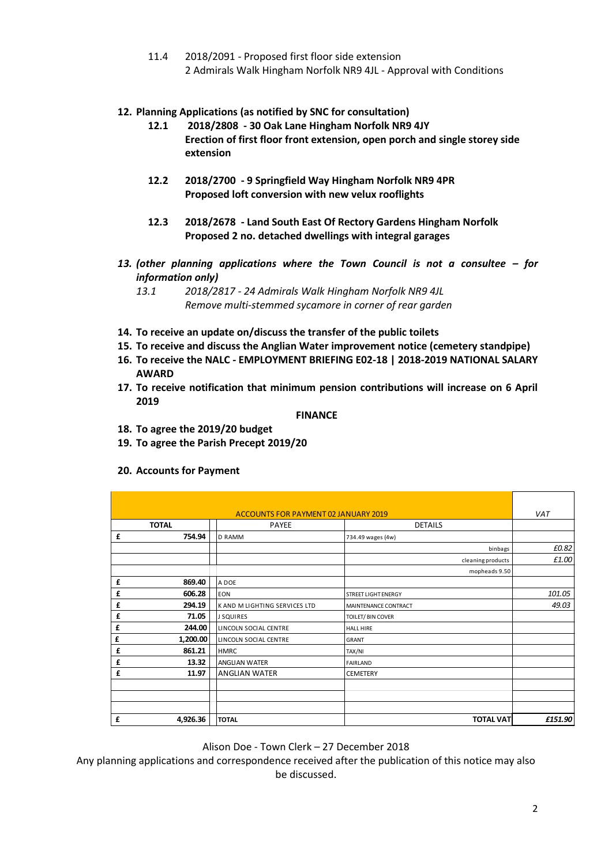11.4 2018/2091 - Proposed first floor side extension 2 Admirals Walk Hingham Norfolk NR9 4JL - Approval with Conditions

# **12. Planning Applications (as notified by SNC for consultation)**

- **12.1 2018/2808 - 30 Oak Lane Hingham Norfolk NR9 4JY Erection of first floor front extension, open porch and single storey side extension**
- **12.2 2018/2700 - 9 Springfield Way Hingham Norfolk NR9 4PR Proposed loft conversion with new velux rooflights**
- **12.3 2018/2678 - Land South East Of Rectory Gardens Hingham Norfolk Proposed 2 no. detached dwellings with integral garages**
- *13. (other planning applications where the Town Council is not a consultee – for information only)*
	- *13.1 2018/2817 - 24 Admirals Walk Hingham Norfolk NR9 4JL Remove multi-stemmed sycamore in corner of rear garden*
- **14. To receive an update on/discuss the transfer of the public toilets**
- **15. To receive and discuss the Anglian Water improvement notice (cemetery standpipe)**
- **16. To receive the NALC - EMPLOYMENT BRIEFING E02-18 | 2018-2019 NATIONAL SALARY AWARD**
- **17. To receive notification that minimum pension contributions will increase on 6 April 2019**

#### **FINANCE**

- **18. To agree the 2019/20 budget**
- **19. To agree the Parish Precept 2019/20**
- **20. Accounts for Payment**

|   | ACCOUNTS FOR PAYMENT 02 JANUARY 2019 |                               |                             |         |
|---|--------------------------------------|-------------------------------|-----------------------------|---------|
|   | <b>TOTAL</b>                         | <b>PAYEE</b>                  | <b>DETAILS</b>              |         |
| £ | 754.94                               | <b>D RAMM</b>                 | 734.49 wages (4w)           |         |
|   |                                      |                               | binbags                     | £0.82   |
|   |                                      |                               | cleaning products           | £1.00   |
|   |                                      |                               | mopheads 9.50               |         |
| £ | 869.40                               | A DOE                         |                             |         |
| £ | 606.28                               | <b>EON</b>                    | <b>STREET LIGHT ENERGY</b>  | 101.05  |
| £ | 294.19                               | K AND M LIGHTING SERVICES LTD | <b>MAINTENANCE CONTRACT</b> | 49.03   |
| £ | 71.05                                | <b>J SQUIRES</b>              | TOILET/BIN COVER            |         |
| £ | 244.00                               | LINCOLN SOCIAL CENTRE         | <b>HALL HIRE</b>            |         |
| £ | 1,200.00                             | LINCOLN SOCIAL CENTRE         | <b>GRANT</b>                |         |
| £ | 861.21                               | <b>HMRC</b>                   | TAX/NI                      |         |
| £ | 13.32                                | <b>ANGLIAN WATER</b>          | <b>FAIRLAND</b>             |         |
| £ | 11.97                                | <b>ANGLIAN WATER</b>          | <b>CEMETERY</b>             |         |
|   |                                      |                               |                             |         |
|   |                                      |                               |                             |         |
|   |                                      |                               |                             |         |
| £ | 4,926.36                             | <b>TOTAL</b>                  | <b>TOTAL VAT</b>            | £151.90 |

Alison Doe - Town Clerk – 27 December 2018

Any planning applications and correspondence received after the publication of this notice may also be discussed.